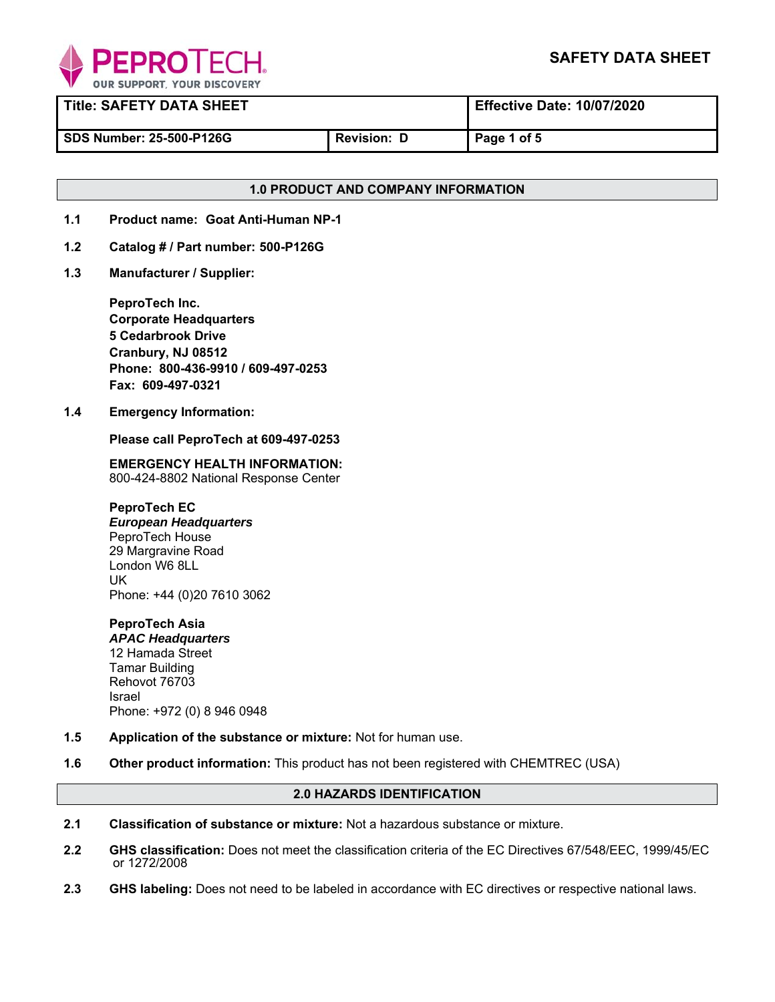

| <b>Title: SAFETY DATA SHEET</b> |                    | <b>Effective Date: 10/07/2020</b> |
|---------------------------------|--------------------|-----------------------------------|
| I SDS Number: 25-500-P126G      | <b>Revision:</b> D | Page 1 of 5                       |

# **1.0 PRODUCT AND COMPANY INFORMATION**

- **1.1 Product name: Goat Anti-Human NP-1**
- **1.2 Catalog # / Part number: 500-P126G**
- **1.3 Manufacturer / Supplier:**

**PeproTech Inc. Corporate Headquarters 5 Cedarbrook Drive Cranbury, NJ 08512 Phone: 800-436-9910 / 609-497-0253 Fax: 609-497-0321** 

**1.4 Emergency Information:** 

 **Please call PeproTech at 609-497-0253** 

**EMERGENCY HEALTH INFORMATION:** 800-424-8802 National Response Center

**PeproTech EC**  *European Headquarters* PeproTech House 29 Margravine Road London W6 8LL UK Phone: +44 (0)20 7610 3062

**PeproTech Asia**  *APAC Headquarters* 12 Hamada Street Tamar Building Rehovot 76703 Israel Phone: +972 (0) 8 946 0948

- **1.5 Application of the substance or mixture:** Not for human use.
- **1.6 Other product information:** This product has not been registered with CHEMTREC (USA)

# **2.0 HAZARDS IDENTIFICATION**

- **2.1 Classification of substance or mixture:** Not a hazardous substance or mixture.
- **2.2 GHS classification:** Does not meet the classification criteria of the EC Directives 67/548/EEC, 1999/45/EC or 1272/2008
- **2.3 GHS labeling:** Does not need to be labeled in accordance with EC directives or respective national laws.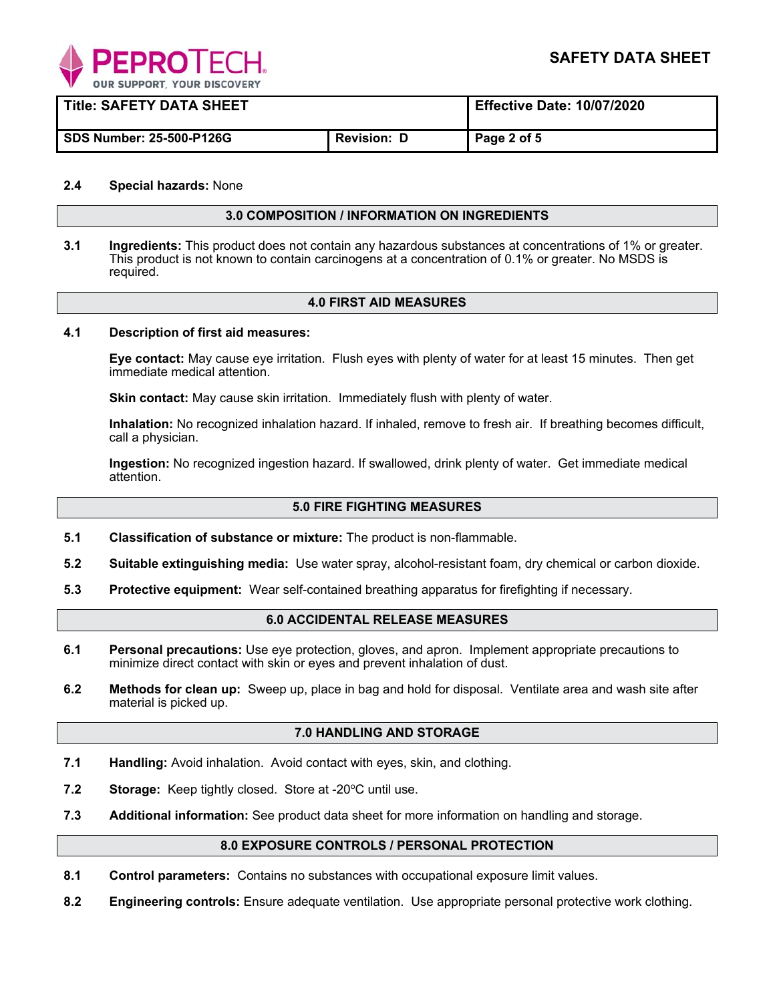

| <b>Title: SAFETY DATA SHEET</b> |                    | <b>Effective Date: 10/07/2020</b> |
|---------------------------------|--------------------|-----------------------------------|
| SDS Number: 25-500-P126G        | <b>Revision: D</b> | Page 2 of 5                       |

### **2.4 Special hazards:** None

### **3.0 COMPOSITION / INFORMATION ON INGREDIENTS**

**3.1 Ingredients:** This product does not contain any hazardous substances at concentrations of 1% or greater. This product is not known to contain carcinogens at a concentration of 0.1% or greater. No MSDS is required.

### **4.0 FIRST AID MEASURES**

### **4.1 Description of first aid measures:**

**Eye contact:** May cause eye irritation. Flush eyes with plenty of water for at least 15 minutes. Then get immediate medical attention.

**Skin contact:** May cause skin irritation. Immediately flush with plenty of water.

**Inhalation:** No recognized inhalation hazard. If inhaled, remove to fresh air. If breathing becomes difficult, call a physician.

**Ingestion:** No recognized ingestion hazard. If swallowed, drink plenty of water. Get immediate medical attention.

### **5.0 FIRE FIGHTING MEASURES**

- **5.1 Classification of substance or mixture:** The product is non-flammable.
- **5.2 Suitable extinguishing media:** Use water spray, alcohol-resistant foam, dry chemical or carbon dioxide.
- **5.3 Protective equipment:** Wear self-contained breathing apparatus for firefighting if necessary.

### **6.0 ACCIDENTAL RELEASE MEASURES**

- **6.1 Personal precautions:** Use eye protection, gloves, and apron. Implement appropriate precautions to minimize direct contact with skin or eyes and prevent inhalation of dust.
- **6.2 Methods for clean up:** Sweep up, place in bag and hold for disposal. Ventilate area and wash site after material is picked up.

#### **7.0 HANDLING AND STORAGE**

- **7.1 Handling:** Avoid inhalation. Avoid contact with eyes, skin, and clothing.
- **7.2** Storage: Keep tightly closed. Store at -20°C until use.
- **7.3 Additional information:** See product data sheet for more information on handling and storage.

#### **8.0 EXPOSURE CONTROLS / PERSONAL PROTECTION**

- **8.1 Control parameters:** Contains no substances with occupational exposure limit values.
- **8.2 Engineering controls:** Ensure adequate ventilation. Use appropriate personal protective work clothing.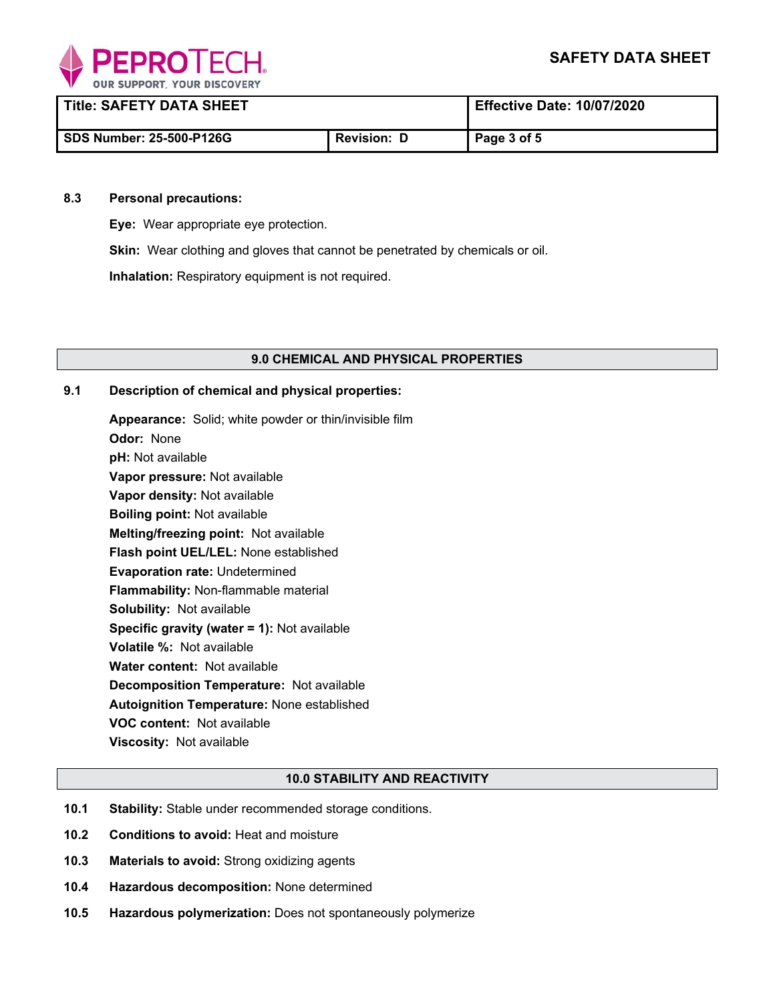

| <b>Title: SAFETY DATA SHEET</b> |                    | <b>Effective Date: 10/07/2020</b> |
|---------------------------------|--------------------|-----------------------------------|
| <b>SDS Number: 25-500-P126G</b> | <b>Revision: D</b> | Page 3 of 5                       |

### **8.3 Personal precautions:**

**Eye:** Wear appropriate eye protection.

**Skin:** Wear clothing and gloves that cannot be penetrated by chemicals or oil.

**Inhalation:** Respiratory equipment is not required.

### **9.0 CHEMICAL AND PHYSICAL PROPERTIES**

## **9.1 Description of chemical and physical properties:**

**Appearance:** Solid; white powder or thin/invisible film **Odor:** None **pH:** Not available **Vapor pressure:** Not available **Vapor density:** Not available **Boiling point:** Not available **Melting/freezing point:** Not available **Flash point UEL/LEL:** None established **Evaporation rate:** Undetermined **Flammability:** Non-flammable material **Solubility:** Not available **Specific gravity (water = 1):** Not available **Volatile %:** Not available **Water content:** Not available **Decomposition Temperature:** Not available **Autoignition Temperature:** None established **VOC content:** Not available **Viscosity:** Not available

### **10.0 STABILITY AND REACTIVITY**

- **10.1 Stability:** Stable under recommended storage conditions.
- **10.2 Conditions to avoid:** Heat and moisture
- **10.3 Materials to avoid:** Strong oxidizing agents
- **10.4 Hazardous decomposition:** None determined
- **10.5 Hazardous polymerization:** Does not spontaneously polymerize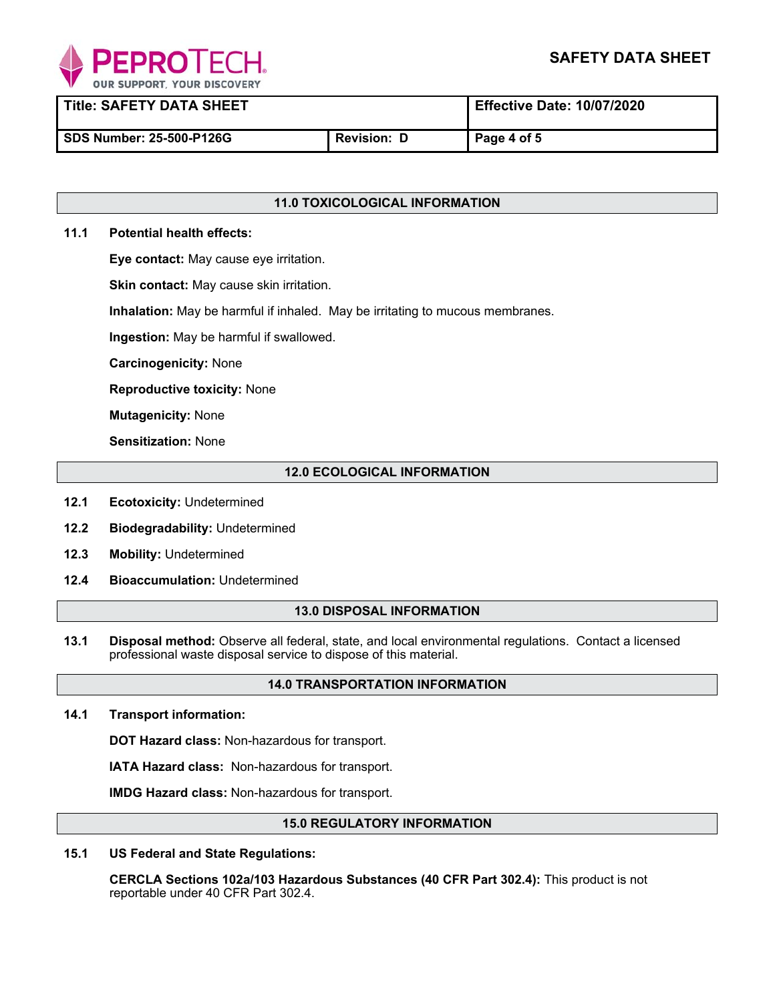

**Title: SAFETY DATA SHEET Effective Date: 10/07/2020** 

SDS Number: 25-500-P126G **Revision: D** Page 4 of 5

# **11.0 TOXICOLOGICAL INFORMATION**

# **11.1 Potential health effects:**

**Eye contact:** May cause eye irritation.

**Skin contact:** May cause skin irritation.

**Inhalation:** May be harmful if inhaled. May be irritating to mucous membranes.

**Ingestion:** May be harmful if swallowed.

**Carcinogenicity:** None

**Reproductive toxicity:** None

**Mutagenicity:** None

**Sensitization:** None

# **12.0 ECOLOGICAL INFORMATION**

- **12.1 Ecotoxicity:** Undetermined
- **12.2 Biodegradability:** Undetermined
- $12.3$ **Mobility: Undetermined**
- **12.4 Bioaccumulation:** Undetermined

### **13.0 DISPOSAL INFORMATION**

**13.1 Disposal method:** Observe all federal, state, and local environmental regulations. Contact a licensed professional waste disposal service to dispose of this material.

# **14.0 TRANSPORTATION INFORMATION**

**14.1 Transport information:** 

**DOT Hazard class:** Non-hazardous for transport.

**IATA Hazard class:** Non-hazardous for transport.

**IMDG Hazard class:** Non-hazardous for transport.

## **15.0 REGULATORY INFORMATION**

**15.1 US Federal and State Regulations:** 

 **CERCLA Sections 102a/103 Hazardous Substances (40 CFR Part 302.4):** This product is not reportable under 40 CFR Part 302.4.